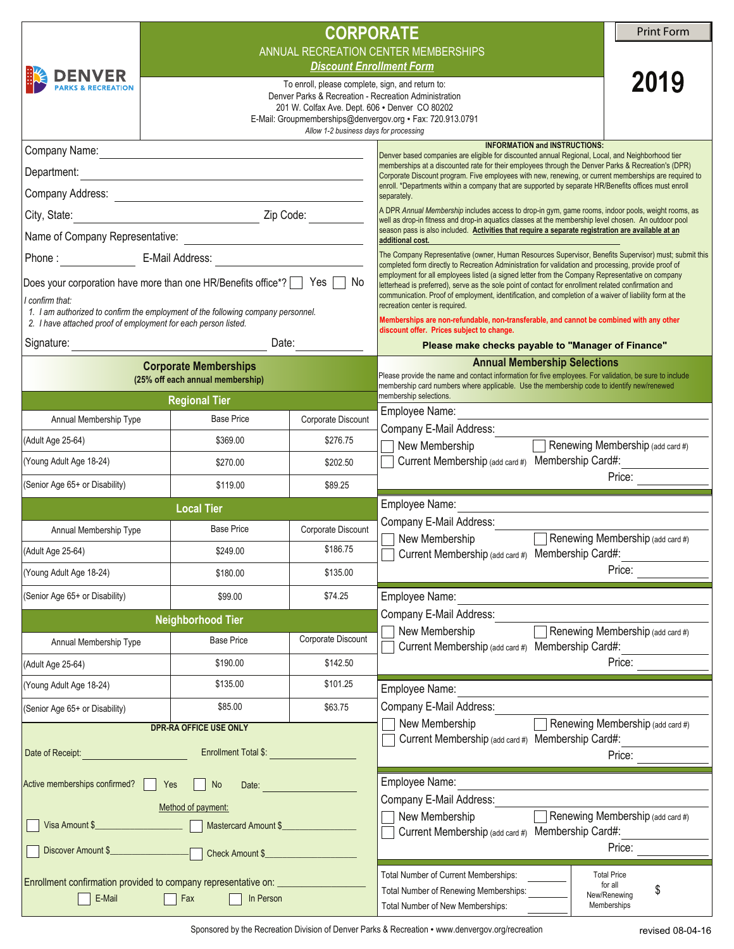|                                                                                                     |                                                                  | <b>CORPORATE</b>                                                                                   |                                                                                                                                                                                                                                                                                                                                                                                                                                                                                                                                                                                                                                                                                                                                                                                                                                                                                                   | <b>Print Form</b>                 |  |
|-----------------------------------------------------------------------------------------------------|------------------------------------------------------------------|----------------------------------------------------------------------------------------------------|---------------------------------------------------------------------------------------------------------------------------------------------------------------------------------------------------------------------------------------------------------------------------------------------------------------------------------------------------------------------------------------------------------------------------------------------------------------------------------------------------------------------------------------------------------------------------------------------------------------------------------------------------------------------------------------------------------------------------------------------------------------------------------------------------------------------------------------------------------------------------------------------------|-----------------------------------|--|
|                                                                                                     | ANNUAL RECREATION CENTER MEMBERSHIPS                             |                                                                                                    |                                                                                                                                                                                                                                                                                                                                                                                                                                                                                                                                                                                                                                                                                                                                                                                                                                                                                                   |                                   |  |
| <b>DENVER</b>                                                                                       |                                                                  | 2019                                                                                               |                                                                                                                                                                                                                                                                                                                                                                                                                                                                                                                                                                                                                                                                                                                                                                                                                                                                                                   |                                   |  |
|                                                                                                     |                                                                  | To enroll, please complete, sign, and return to:<br>201 W. Colfax Ave. Dept. 606 . Denver CO 80202 | Denver Parks & Recreation - Recreation Administration                                                                                                                                                                                                                                                                                                                                                                                                                                                                                                                                                                                                                                                                                                                                                                                                                                             |                                   |  |
|                                                                                                     |                                                                  |                                                                                                    | E-Mail: Groupmemberships@denvergov.org • Fax: 720.913.0791                                                                                                                                                                                                                                                                                                                                                                                                                                                                                                                                                                                                                                                                                                                                                                                                                                        |                                   |  |
|                                                                                                     |                                                                  | Allow 1-2 business days for processing                                                             | <b>INFORMATION and INSTRUCTIONS:</b>                                                                                                                                                                                                                                                                                                                                                                                                                                                                                                                                                                                                                                                                                                                                                                                                                                                              |                                   |  |
|                                                                                                     |                                                                  |                                                                                                    | Denver based companies are eligible for discounted annual Regional, Local, and Neighborhood tier<br>memberships at a discounted rate for their employees through the Denver Parks & Recreation's (DPR)                                                                                                                                                                                                                                                                                                                                                                                                                                                                                                                                                                                                                                                                                            |                                   |  |
| Department:                                                                                         |                                                                  |                                                                                                    | Corporate Discount program. Five employees with new, renewing, or current memberships are required to<br>enroll. *Departments within a company that are supported by separate HR/Benefits offices must enroll<br>separately.<br>A DPR Annual Membership includes access to drop-in gym, game rooms, indoor pools, weight rooms, as                                                                                                                                                                                                                                                                                                                                                                                                                                                                                                                                                                |                                   |  |
|                                                                                                     |                                                                  |                                                                                                    |                                                                                                                                                                                                                                                                                                                                                                                                                                                                                                                                                                                                                                                                                                                                                                                                                                                                                                   |                                   |  |
| City, State:                                                                                        |                                                                  |                                                                                                    | well as drop-in fitness and drop-in aquatics classes at the membership level chosen. An outdoor pool<br>season pass is also included. Activities that require a separate registration are available at an<br>additional cost.<br>The Company Representative (owner, Human Resources Supervisor, Benefits Supervisor) must; submit this<br>completed form directly to Recreation Administration for validation and processing, provide proof of<br>employment for all employees listed (a signed letter from the Company Representative on company<br>letterhead is preferred), serve as the sole point of contact for enrollment related confirmation and<br>communication. Proof of employment, identification, and completion of a waiver of liability form at the<br>recreation center is required.<br>Memberships are non-refundable, non-transferable, and cannot be combined with any other |                                   |  |
|                                                                                                     |                                                                  |                                                                                                    |                                                                                                                                                                                                                                                                                                                                                                                                                                                                                                                                                                                                                                                                                                                                                                                                                                                                                                   |                                   |  |
|                                                                                                     |                                                                  |                                                                                                    |                                                                                                                                                                                                                                                                                                                                                                                                                                                                                                                                                                                                                                                                                                                                                                                                                                                                                                   |                                   |  |
| Does your corporation have more than one HR/Benefits office*?   Yes<br>No                           |                                                                  |                                                                                                    |                                                                                                                                                                                                                                                                                                                                                                                                                                                                                                                                                                                                                                                                                                                                                                                                                                                                                                   |                                   |  |
| l confirm that:<br>1. I am authorized to confirm the employment of the following company personnel. |                                                                  |                                                                                                    |                                                                                                                                                                                                                                                                                                                                                                                                                                                                                                                                                                                                                                                                                                                                                                                                                                                                                                   |                                   |  |
| 2. I have attached proof of employment for each person listed.                                      |                                                                  |                                                                                                    | discount offer. Prices subject to change.                                                                                                                                                                                                                                                                                                                                                                                                                                                                                                                                                                                                                                                                                                                                                                                                                                                         |                                   |  |
| Signature:                                                                                          | Date:                                                            |                                                                                                    | Please make checks payable to "Manager of Finance"                                                                                                                                                                                                                                                                                                                                                                                                                                                                                                                                                                                                                                                                                                                                                                                                                                                |                                   |  |
|                                                                                                     | <b>Corporate Memberships</b><br>(25% off each annual membership) |                                                                                                    | <b>Annual Membership Selections</b><br>Please provide the name and contact information for five employees. For validation, be sure to include                                                                                                                                                                                                                                                                                                                                                                                                                                                                                                                                                                                                                                                                                                                                                     |                                   |  |
|                                                                                                     | <b>Regional Tier</b>                                             |                                                                                                    | membership card numbers where applicable. Use the membership code to identify new/renewed<br>membership selections.                                                                                                                                                                                                                                                                                                                                                                                                                                                                                                                                                                                                                                                                                                                                                                               |                                   |  |
| Annual Membership Type                                                                              | <b>Base Price</b>                                                | Corporate Discount                                                                                 | Employee Name:                                                                                                                                                                                                                                                                                                                                                                                                                                                                                                                                                                                                                                                                                                                                                                                                                                                                                    |                                   |  |
| (Adult Age 25-64)                                                                                   | \$369.00                                                         | \$276.75                                                                                           | Company E-Mail Address:<br>New Membership <b>Denewing Membership</b> (add card #)                                                                                                                                                                                                                                                                                                                                                                                                                                                                                                                                                                                                                                                                                                                                                                                                                 |                                   |  |
| (Young Adult Age 18-24)                                                                             | \$270.00                                                         | \$202.50                                                                                           | Current Membership (add card #) Membership Card#:                                                                                                                                                                                                                                                                                                                                                                                                                                                                                                                                                                                                                                                                                                                                                                                                                                                 |                                   |  |
| (Senior Age 65+ or Disability)                                                                      | \$119.00                                                         | \$89.25                                                                                            | $\blacktriangledown$                                                                                                                                                                                                                                                                                                                                                                                                                                                                                                                                                                                                                                                                                                                                                                                                                                                                              | Price:<br>$\blacksquare$          |  |
| <b>Local Tier</b>                                                                                   |                                                                  |                                                                                                    | Employee Name:                                                                                                                                                                                                                                                                                                                                                                                                                                                                                                                                                                                                                                                                                                                                                                                                                                                                                    |                                   |  |
| Annual Membership Type                                                                              | <b>Base Price</b>                                                | Corporate Discount                                                                                 | Company E-Mail Address:                                                                                                                                                                                                                                                                                                                                                                                                                                                                                                                                                                                                                                                                                                                                                                                                                                                                           |                                   |  |
| (Adult Age 25-64)                                                                                   | \$249.00                                                         | \$186.75                                                                                           | $\Box$ New Membership<br>Current Membership (add card #) Membership Card#:                                                                                                                                                                                                                                                                                                                                                                                                                                                                                                                                                                                                                                                                                                                                                                                                                        | Renewing Membership (add card #)  |  |
| (Young Adult Age 18-24)                                                                             | \$180.00                                                         | \$135.00                                                                                           | $\blacksquare$                                                                                                                                                                                                                                                                                                                                                                                                                                                                                                                                                                                                                                                                                                                                                                                                                                                                                    | $\blacktriangleright$<br>Price:   |  |
| (Senior Age 65+ or Disability)                                                                      | \$99.00                                                          | \$74.25                                                                                            | Employee Name:                                                                                                                                                                                                                                                                                                                                                                                                                                                                                                                                                                                                                                                                                                                                                                                                                                                                                    |                                   |  |
|                                                                                                     | <b>Neighborhood Tier</b>                                         |                                                                                                    | Company E-Mail Address:                                                                                                                                                                                                                                                                                                                                                                                                                                                                                                                                                                                                                                                                                                                                                                                                                                                                           |                                   |  |
| Annual Membership Type                                                                              | <b>Base Price</b>                                                | Corporate Discount                                                                                 | New Membership<br>Current Membership (add card #) Membership Card#:                                                                                                                                                                                                                                                                                                                                                                                                                                                                                                                                                                                                                                                                                                                                                                                                                               | Renewing Membership (add card #)  |  |
| (Adult Age 25-64)                                                                                   | \$190.00                                                         | \$142.50                                                                                           | $\vert \blacktriangledown \vert$                                                                                                                                                                                                                                                                                                                                                                                                                                                                                                                                                                                                                                                                                                                                                                                                                                                                  | Price:<br>$\blacktriangledown$    |  |
| (Young Adult Age 18-24)                                                                             | \$135.00                                                         | \$101.25                                                                                           | Employee Name:                                                                                                                                                                                                                                                                                                                                                                                                                                                                                                                                                                                                                                                                                                                                                                                                                                                                                    |                                   |  |
| (Senior Age 65+ or Disability)                                                                      | \$85.00                                                          | \$63.75                                                                                            | Company E-Mail Address:                                                                                                                                                                                                                                                                                                                                                                                                                                                                                                                                                                                                                                                                                                                                                                                                                                                                           |                                   |  |
|                                                                                                     | DPR-RA OFFICE USE ONLY                                           |                                                                                                    | New Membership                                                                                                                                                                                                                                                                                                                                                                                                                                                                                                                                                                                                                                                                                                                                                                                                                                                                                    | Renewing Membership (add card #)  |  |
| Enrollment Total \$:<br>Date of Receipt: <b>Date of Receipt:</b>                                    |                                                                  |                                                                                                    | Current Membership (add card #) Membership Card#:<br>$\blacksquare$                                                                                                                                                                                                                                                                                                                                                                                                                                                                                                                                                                                                                                                                                                                                                                                                                               | Price:<br>$\blacktriangleright$   |  |
|                                                                                                     |                                                                  |                                                                                                    |                                                                                                                                                                                                                                                                                                                                                                                                                                                                                                                                                                                                                                                                                                                                                                                                                                                                                                   |                                   |  |
| Active memberships confirmed?<br>Yes<br>  No<br>Date:                                               |                                                                  |                                                                                                    | Employee Name:<br>Company E-Mail Address:                                                                                                                                                                                                                                                                                                                                                                                                                                                                                                                                                                                                                                                                                                                                                                                                                                                         |                                   |  |
| Method of payment:                                                                                  |                                                                  |                                                                                                    | New Membership                                                                                                                                                                                                                                                                                                                                                                                                                                                                                                                                                                                                                                                                                                                                                                                                                                                                                    | Renewing Membership (add card #)  |  |
| Visa Amount \$                                                                                      |                                                                  |                                                                                                    | Current Membership (add card #) Membership Card#:                                                                                                                                                                                                                                                                                                                                                                                                                                                                                                                                                                                                                                                                                                                                                                                                                                                 |                                   |  |
| Discover Amount \$                                                                                  | Check Amount \$                                                  |                                                                                                    | $\blacktriangledown$                                                                                                                                                                                                                                                                                                                                                                                                                                                                                                                                                                                                                                                                                                                                                                                                                                                                              | Price:<br>$\blacktriangledown$    |  |
| Enrollment confirmation provided to company representative on: _                                    |                                                                  |                                                                                                    | Total Number of Current Memberships:                                                                                                                                                                                                                                                                                                                                                                                                                                                                                                                                                                                                                                                                                                                                                                                                                                                              | <b>Total Price</b><br>for all     |  |
| E-Mail<br>Fax<br>In Person                                                                          |                                                                  |                                                                                                    | Total Number of Renewing Memberships:<br>Total Number of New Memberships:                                                                                                                                                                                                                                                                                                                                                                                                                                                                                                                                                                                                                                                                                                                                                                                                                         | \$<br>New/Renewing<br>Memberships |  |
|                                                                                                     |                                                                  |                                                                                                    |                                                                                                                                                                                                                                                                                                                                                                                                                                                                                                                                                                                                                                                                                                                                                                                                                                                                                                   |                                   |  |